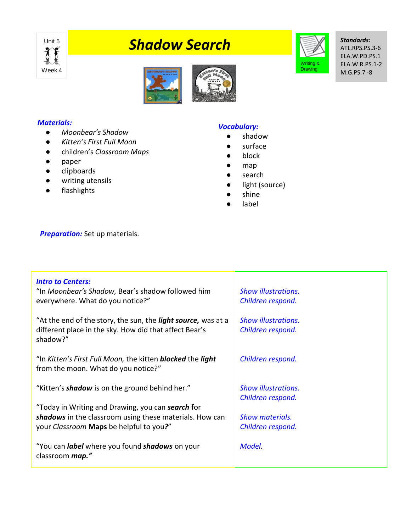

# **Unit 5** Shadow Search



*Standards:* ATL.RPS.PS.3-6 ELA.W.PD.PS.1 ELA.W.R.PS.1-2 M.G.PS.7 -8





#### *Materials:*

- *Moonbear's Shadow*
- *Kitten's First Full Moon*
- children's *Classroom Maps*
- paper
- clipboards
- writing utensils
- flashlights

# *Vocabulary:*

- shadow
- surface
- block
- map
- search
- light (source)
- shine
- label

**Preparation:** Set up materials.

| <b>Intro to Centers:</b><br>"In Moonbear's Shadow, Bear's shadow followed him<br>everywhere. What do you notice?"                                       | <b>Show illustrations.</b><br>Children respond. |
|---------------------------------------------------------------------------------------------------------------------------------------------------------|-------------------------------------------------|
| "At the end of the story, the sun, the <i>light source</i> , was at a<br>different place in the sky. How did that affect Bear's<br>shadow?"             | <b>Show illustrations.</b><br>Children respond. |
| "In Kitten's First Full Moon, the kitten <b>blocked</b> the <b>light</b><br>from the moon. What do you notice?"                                         | Children respond.                               |
| "Kitten's <b>shadow</b> is on the ground behind her."                                                                                                   | <b>Show illustrations.</b><br>Children respond. |
| "Today in Writing and Drawing, you can search for<br>shadows in the classroom using these materials. How can<br>your Classroom Maps be helpful to you?" | <b>Show materials.</b><br>Children respond.     |
| "You can <i>label</i> where you found <b>shadows</b> on your<br>classroom map."                                                                         | Model.                                          |